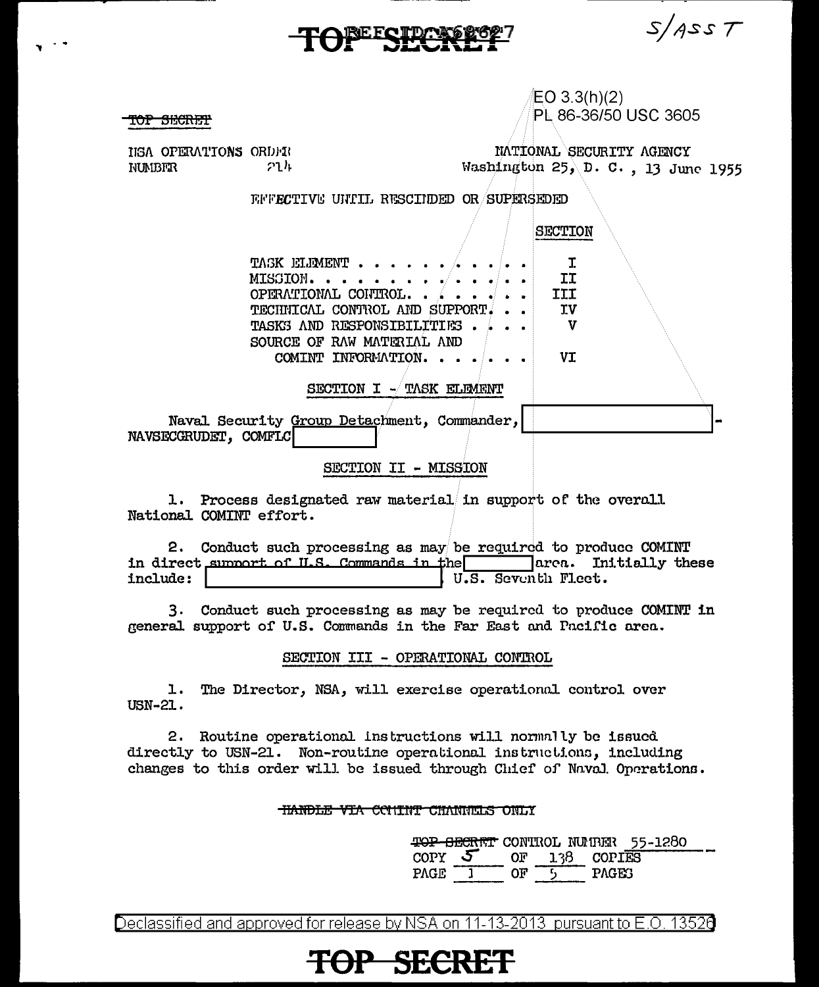$S/ASST$ 

 $EO$  3.3(h)(2) PL 86-36/50 USC 3605

<del>IOP SECRET</del>

HEA OPERATIONS ORDER  $21h$ **NUMBER** 

NATIONAL SECURITY AGENCY Washington 25, D. C., 13 June 1955

**SECTION** 

FFFECTIVE UNIIL RESCIEDED OR SUPERSEDED

 $\mathbf{I}$ TASK ELEMENT. II MISSION. . . OPERATIONAL CONTROL.. **III** TECHNICAL CONTROL AND SUPPORT. **TV TASKS AND RESPONSIBILITIES.**  $\mathbf{v}$ SOURCE OF RAW MATERIAL AND **VI** COMINT INFORMATION. . . SECTION I - TASK ELEMENT

Naval Security Group Detachment, Commander, NAVSECGRUDET, COMFLC

SECTION II - MISSION

1. Process designated raw material in support of the overall National COMINT effort.

2. Conduct such processing as may be required to produce COMINT in direct summort of U.S. Commands in the area. Initially these include: U.S. Seventh Fleet.

3. Conduct such processing as may be required to produce COMINT in general support of U.S. Commands in the Far East and Pacific area.

SECTION III - OPERATIONAL CONTROL

l. The Director, NSA, will exercise operational control over USN-21.

2. Routine operational instructions will normally be issued directly to USN-21. Non-routine operational instructions, including changes to this order will be issued through Chief of Naval Operations.

### **HANDLE VIA CONTINT CHANNELS ONLY**

<del>TOP SECRET</del> CONTROL NUMBER 55-1280  $\text{corr}$  5 OF 138 COPIES PAGE  $1$ OF  $\overline{5}$ **PAGES** 

Declassified and approved for release by NSA on 11-13-2013 pursuant to E.O. 13520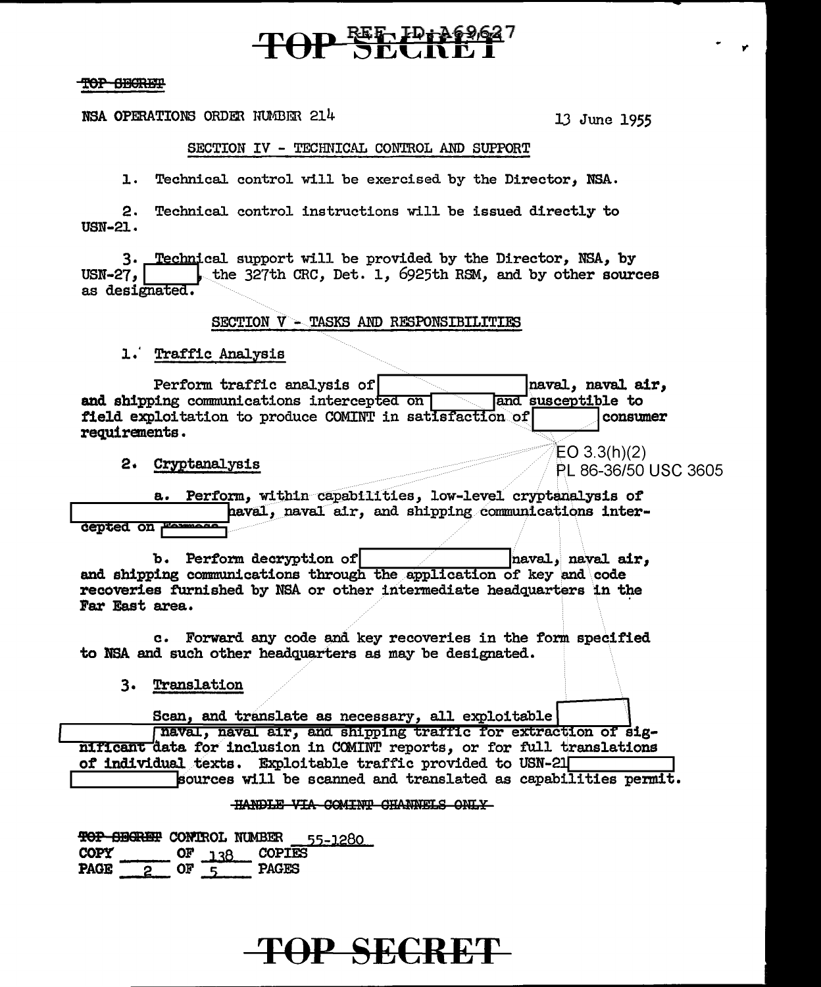# TOP SECRET

#### TOP SHORET

NSA OPERATIONS ORDER NUMBER 214

13 June 1955

 $EO 3.3(h)(2)$ 

PL 86-36/50 USC 3605

### SECTION IV - TECHNICAL CONTROL AND SUPPORT

1. Technical control will be exercised by the Director. NSA.

2. Technical control instructions will be issued directly to **USN-21.** 

3. Technical support will be provided by the Director, NSA, by the 327th CRC, Det. 1, 6925th RSM, and by other sources USN-27, I as designated.

SECTION V - TASKS AND RESPONSIBILITIES

1. Traffic Analysis

| Perform traffic analysis of                             | naval, naval air,  |
|---------------------------------------------------------|--------------------|
| and shipping communications intercepted on              | and susceptible to |
| field exploitation to produce COMINT in satisfaction of | <b>l</b> consumer  |
| requirements.                                           |                    |

2. Cryptanalysis

a. Perform, within capabilities, low-level cryptanalysis of haval, naval air, and shipping communications inter**cepted on <del>Fo</del>** 

b. Perform decryption of naval, naval air. and shipping communications through the application of key and code recoveries furnished by NSA or other intermediate headquarters in the Far East area.

c. Forward any code and key recoveries in the form specified to NSA and such other headquarters as may be designated.

3. Translation

Scan, and translate as necessary, all exploitable

naval, naval air, and shipping traffic for extraction of significant data for inclusion in COMINT reports, or for full translations of individual texts. Exploitable traffic provided to USN-21 sources will be scanned and translated as capabilities permit.

### HANDLE VIA COMINT CHANNELS ONLY

TOP SEGRET CONTROL NUMBER 55-1280 **COPY**  $OF_{138}$ **COPIES**  $-$  or  $\frac{1}{5}$ **PAGES** PAGE<sup>T</sup>  $\mathbf{2}$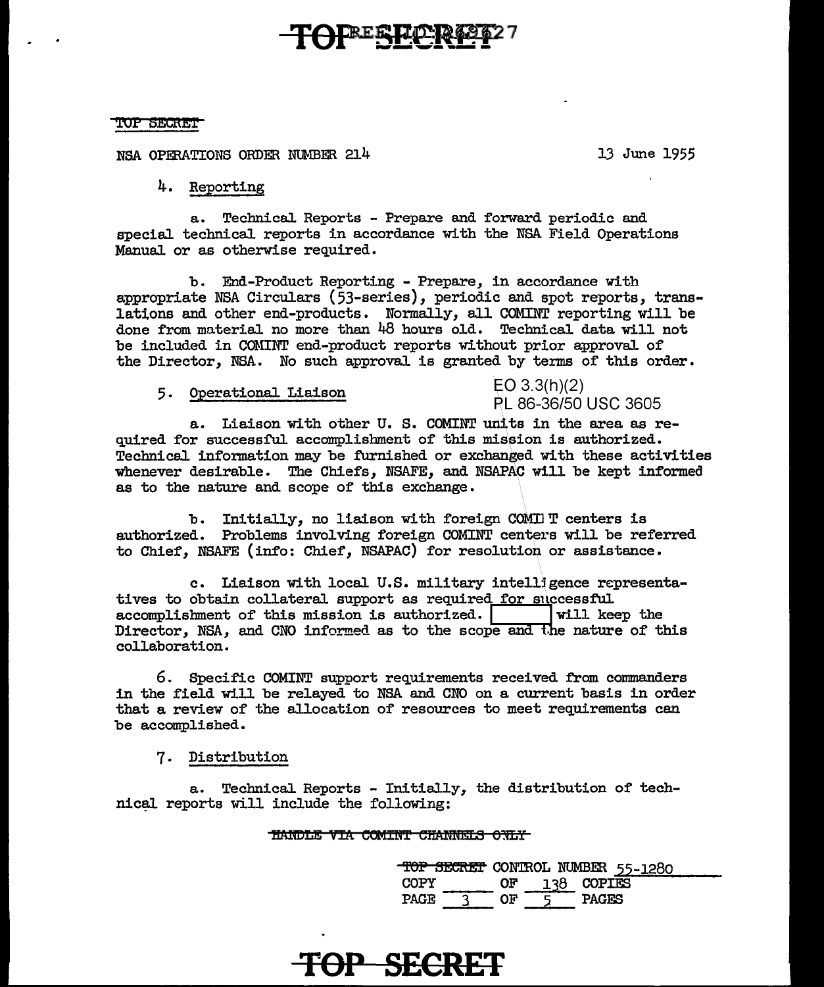### **FREE LIDER**

#### TOP SECRET

NSA OPERATIONS ORDER NUMBER 214 13 June 1955

4. Reporting

a. Technical Reports - Prepare and forward periodic and special technical reports in accordance with the NSA Field Operations Manual or as otherwise required.

b. End-Product Reporting - Prepare, in accordance with appropriate NSA Circulars (53-series), periodic and spot reports, translations and other end-products. Normally, all COMINT reporting will be done from material no more than 48 hours old. Technical data will not be included in COMINT end-product reports without prior approval of the Director, NSA. No such approval is granted by terms of this order.

5. Operational Liaison EO 3.3(h)(2)

### PL 86-36/50 USC 3605

a. Liaison with other U. S. COMINT units in the area as required for successful accomplishment of this mission is authorized. Technical information may be furnished or exchanged with these activities whenever desirable. The Chiefs, NSAFE, and NSAPAC will be kept informed as to the nature and scope of this exchange.

b. Initially, no liaison with foreign COMINT centers is authorized. Problems involving foreign COMINT centers will be referred to Chief, NSAFE (info: Chief, NSAPAC) for resolution or assistance.

c. Liaison with local U.S. military intell]gence representatives to obtain collateral support as required for successful accomplishment of this mission is authorized.  $\begin{array}{|c|c|c|c|c|c|}\n\hline\n\text{will keep the}\n\end{array}$ accomplishment of this mission is authorized. Director, NSA, and CNO informed as to the scope and the nature of this collaboration.

6. Specific COMINT support requirements received from commanders in the field will be relayed to NSA and CNO on a current basis in order that a review of the allocation of resources to meet requirements can be accomplished.

7. Distribution

a. Technical Reports - Initially, the distribution of technical reports will include the following:

### **HANDLE VIA COMINT CHANNELS ONLY**

|             |    |            | TOP SECRET CONTROL NUMBER 55-1280 |
|-------------|----|------------|-----------------------------------|
| COPY        | ΩF | 138 COPIES |                                   |
| <b>PAGE</b> | በዦ | PAGES      |                                   |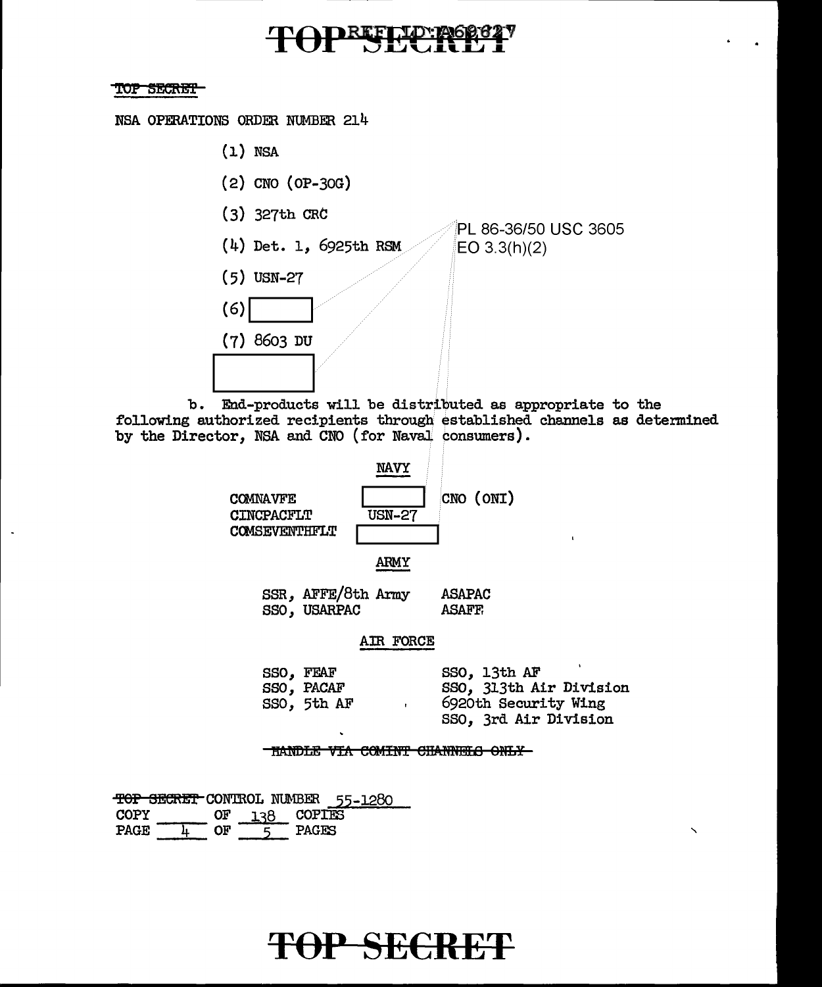## REFLION

### TOP SECRET

NSA OPERATIONS ORDER NUMBER 214

- $(1)$  NSA
- $(2)$  CNO  $(OP-3OG)$
- $(3)$  327th CRC
- (4) Det. 1, 6925th RSM
- $(5)$  USN-27

 $(7)$  8603 DU

 $(6)$ 

PL 86-36/50 USC 3605  $EO 3.3(h)(2)$ 

b. End-products will be distributed as appropriate to the following authorized recipients through established channels as determined by the Director, NSA and CNO (for Naval consumers).



SSR, AFFE/8th Army ASAPAC SSO, USARPAC **ASAFF** 

### AIR FORCE

| SSO, FEAF   | SSO, 13th AF            |
|-------------|-------------------------|
| SSO, PACAF  | SSO, 313th Air Division |
| SSO, 5th AF | 6920th Security Wing    |
|             | SSO, 3rd Air Division   |

THANDLE VIA COMINT CHANNELS ONLY-

TOP SECRET CONTROL NUMBER 55-1280 COPIES **COPY** OF 138 PAGE<sup>-</sup>  $-$  OF  $\cdot$ PAGES  $\overline{\mathbf{r}}$ -5